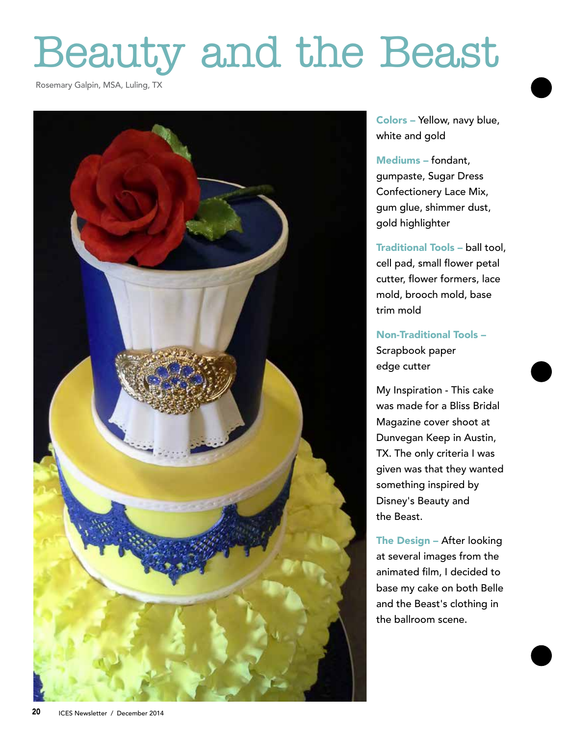## Beauty and the Beast

Rosemary Galpin, MSA, Luling, TX



Colors – Yellow, navy blue, white and gold

Mediums – fondant, gumpaste, Sugar Dress Confectionery Lace Mix, gum glue, shimmer dust, gold highlighter

Traditional Tools – ball tool, cell pad, small flower petal cutter, flower formers, lace mold, brooch mold, base trim mold

Non-Traditional Tools – Scrapbook paper edge cutter

My Inspiration - This cake was made for a Bliss Bridal Magazine cover shoot at Dunvegan Keep in Austin, TX. The only criteria I was given was that they wanted something inspired by Disney's Beauty and the Beast.

The Design – After looking at several images from the animated film, I decided to base my cake on both Belle and the Beast's clothing in the ballroom scene.